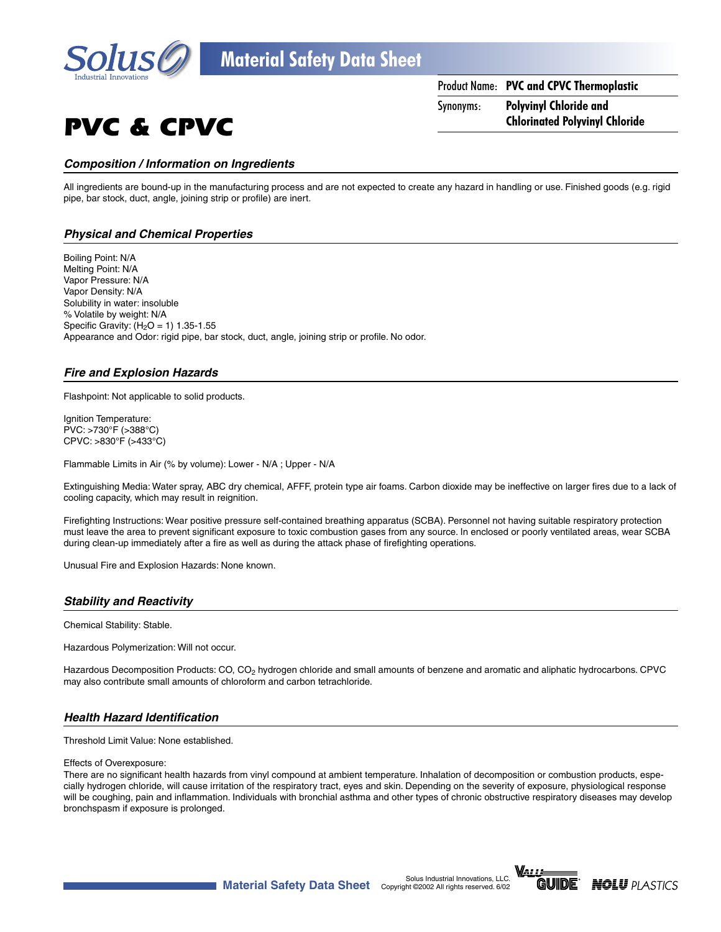

PVC & CPVC

Product Name: **PVC and CPVC Thermoplastic** Synonyms: **Polyvinyl Chloride and Chlorinated Polyvinyl Chloride**

### **Composition / Information on Ingredients**

All ingredients are bound-up in the manufacturing process and are not expected to create any hazard in handling or use. Finished goods (e.g. rigid pipe, bar stock, duct, angle, joining strip or profile) are inert.

### **Physical and Chemical Properties**

Boiling Point: N/A Melting Point: N/A Vapor Pressure: N/A Vapor Density: N/A Solubility in water: insoluble % Volatile by weight: N/A Specific Gravity:  $(H<sub>2</sub>O = 1)$  1.35-1.55 Appearance and Odor: rigid pipe, bar stock, duct, angle, joining strip or profile. No odor.

### **Fire and Explosion Hazards**

Flashpoint: Not applicable to solid products.

Ignition Temperature: PVC: >730°F (>388°C) CPVC: >830°F (>433°C)

Flammable Limits in Air (% by volume): Lower - N/A ; Upper - N/A

Extinguishing Media: Water spray, ABC dry chemical, AFFF, protein type air foams. Carbon dioxide may be ineffective on larger fires due to a lack of cooling capacity, which may result in reignition.

Firefighting Instructions: Wear positive pressure self-contained breathing apparatus (SCBA). Personnel not having suitable respiratory protection must leave the area to prevent significant exposure to toxic combustion gases from any source. In enclosed or poorly ventilated areas, wear SCBA during clean-up immediately after a fire as well as during the attack phase of firefighting operations.

Unusual Fire and Explosion Hazards: None known.

### **Stability and Reactivity**

Chemical Stability: Stable.

Hazardous Polymerization: Will not occur.

Hazardous Decomposition Products: CO, CO<sub>2</sub> hydrogen chloride and small amounts of benzene and aromatic and aliphatic hydrocarbons. CPVC may also contribute small amounts of chloroform and carbon tetrachloride.

### **Health Hazard Identification**

Threshold Limit Value: None established.

#### Effects of Overexposure:

There are no significant health hazards from vinyl compound at ambient temperature. Inhalation of decomposition or combustion products, especially hydrogen chloride, will cause irritation of the respiratory tract, eyes and skin. Depending on the severity of exposure, physiological response will be coughing, pain and inflammation. Individuals with bronchial asthma and other types of chronic obstructive respiratory diseases may develop bronchspasm if exposure is prolonged.